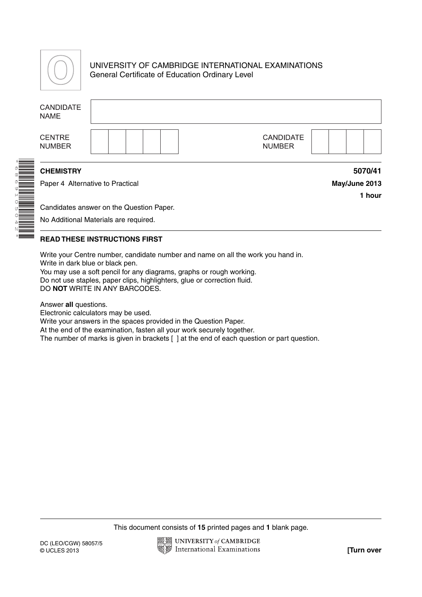

## UNIVERSITY OF CAMBRIDGE INTERNATIONAL EXAMINATIONS General Certificate of Education Ordinary Level

| <b>CANDIDATE</b><br><b>NAME</b>  |                                          |                                   |
|----------------------------------|------------------------------------------|-----------------------------------|
| <b>CENTRE</b><br><b>NUMBER</b>   |                                          | <b>CANDIDATE</b><br><b>NUMBER</b> |
| <b>CHEMISTRY</b>                 |                                          | 5070/41                           |
| Paper 4 Alternative to Practical |                                          | May/June 2013<br>1 hour           |
|                                  | Candidates answer on the Question Paper. |                                   |
|                                  | No Additional Materials are required.    |                                   |

## **READ THESE INSTRUCTIONS FIRST**

Write your Centre number, candidate number and name on all the work you hand in. Write in dark blue or black pen.

You may use a soft pencil for any diagrams, graphs or rough working. Do not use staples, paper clips, highlighters, glue or correction fluid. DO **NOT** WRITE IN ANY BARCODES.

Answer **all** questions.

Electronic calculators may be used.

Write your answers in the spaces provided in the Question Paper.

At the end of the examination, fasten all your work securely together.

The number of marks is given in brackets [ ] at the end of each question or part question.

This document consists of **15** printed pages and **1** blank page.

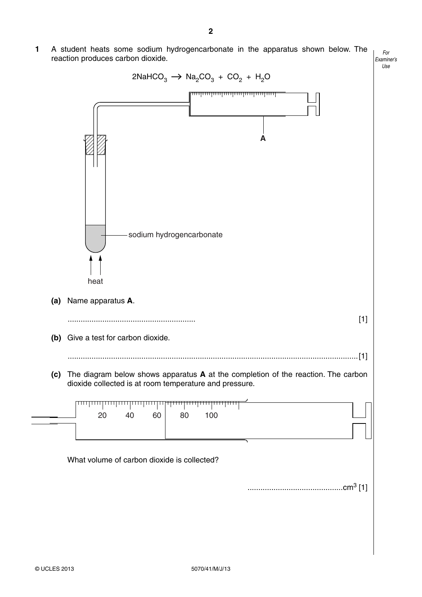*For Examiner's Use* **1** A student heats some sodium hydrogencarbonate in the apparatus shown below. The reaction produces carbon dioxide.

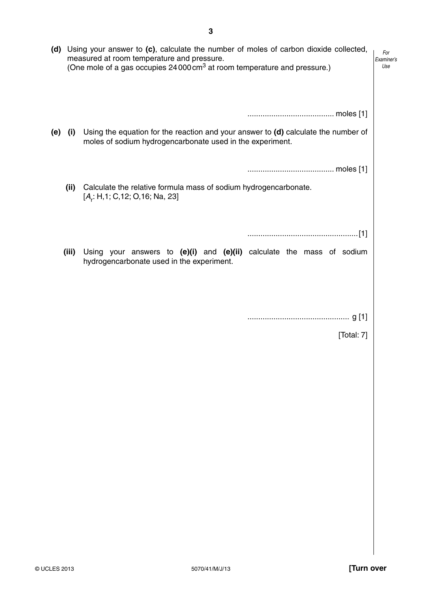| (d) |       | Using your answer to $(c)$ , calculate the number of moles of carbon dioxide collected,<br>measured at room temperature and pressure.<br>(One mole of a gas occupies 24 000 cm <sup>3</sup> at room temperature and pressure.) | For<br>Examiner's<br>Use |
|-----|-------|--------------------------------------------------------------------------------------------------------------------------------------------------------------------------------------------------------------------------------|--------------------------|
|     |       |                                                                                                                                                                                                                                |                          |
| (e) | (i)   | Using the equation for the reaction and your answer to $(d)$ calculate the number of<br>moles of sodium hydrogencarbonate used in the experiment.                                                                              |                          |
|     |       |                                                                                                                                                                                                                                |                          |
|     | (ii)  | Calculate the relative formula mass of sodium hydrogencarbonate.<br>$[A_r: H, 1; C, 12; O, 16; Na, 23]$                                                                                                                        |                          |
|     |       |                                                                                                                                                                                                                                |                          |
|     | (iii) | Using your answers to $(e)(i)$ and $(e)(ii)$ calculate the mass of sodium<br>hydrogencarbonate used in the experiment.                                                                                                         |                          |
|     |       |                                                                                                                                                                                                                                |                          |
|     |       |                                                                                                                                                                                                                                |                          |
|     |       | [Total: 7]                                                                                                                                                                                                                     |                          |
|     |       |                                                                                                                                                                                                                                |                          |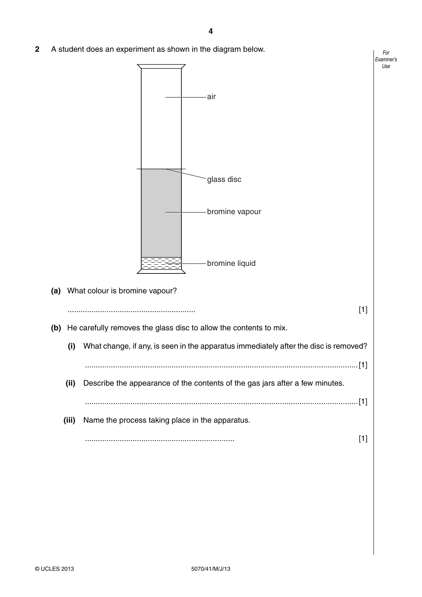*For*

*Use*

**2** A student does an experiment as shown in the diagram below.

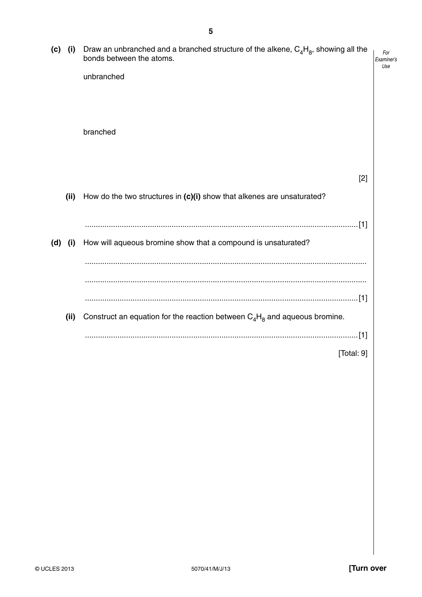| (c) | (i)  | Draw an unbranched and a branched structure of the alkene, $C_4H_8$ , showing all the<br>bonds between the atoms. | For<br>Examiner's<br>Use |
|-----|------|-------------------------------------------------------------------------------------------------------------------|--------------------------|
|     |      | unbranched                                                                                                        |                          |
|     |      | branched                                                                                                          |                          |
|     |      | [2]                                                                                                               |                          |
|     | (ii) | How do the two structures in (c)(i) show that alkenes are unsaturated?                                            |                          |
|     |      |                                                                                                                   |                          |
| (d) | (i)  | How will aqueous bromine show that a compound is unsaturated?                                                     |                          |
|     |      |                                                                                                                   |                          |
|     |      |                                                                                                                   |                          |
|     |      |                                                                                                                   |                          |
|     | (ii) | Construct an equation for the reaction between $C_4H_8$ and aqueous bromine.                                      |                          |
|     |      |                                                                                                                   |                          |
|     |      | [Total: $9$ ]                                                                                                     |                          |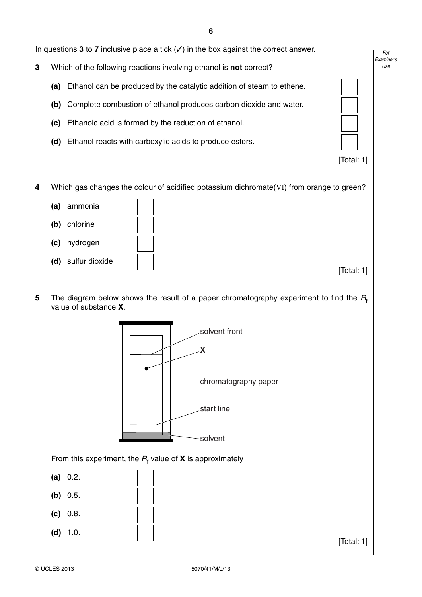In questions **3** to **7** inclusive place a tick (✓) in the box against the correct answer.

- **3** Which of the following reactions involving ethanol is **not** correct?
	- **(a)** Ethanol can be produced by the catalytic addition of steam to ethene.
	- **(b)** Complete combustion of ethanol produces carbon dioxide and water.
	- **(c)** Ethanoic acid is formed by the reduction of ethanol.
	- **(d)** Ethanol reacts with carboxylic acids to produce esters.

[Total: 1]

*For Examiner's Use*

**4** Which gas changes the colour of acidified potassium dichromate(VI) from orange to green?

- **(a)** ammonia
- **(b)** chlorine
- **(c)** hydrogen
- **(d)** sulfur dioxide

[Total: 1]

**5** The diagram below shows the result of a paper chromatography experiment to find the  $R_f$ value of substance **X**.



From this experiment, the  $R_{\text{f}}$  value of **X** is approximately

- **(a)** 0.2.
- **(b)** 0.5.  **(c)** 0.8.
- **(d)** 1.0.

[Total: 1]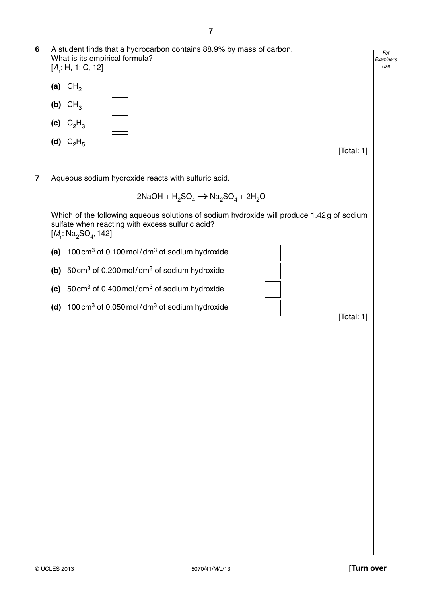- **6** A student finds that a hydrocarbon contains 88.9% by mass of carbon. What is its empirical formula? [*A*r : H, 1; C, 12]
	- **(a)**  $CH<sub>2</sub>$  $(b)$   $CH<sub>3</sub>$ **(c)**  $C_2H_3$ **(d)**  $C_2H_5$

[Total: 1]

**7** Aqueous sodium hydroxide reacts with sulfuric acid.

$$
2NaOH + H2SO4 \rightarrow Na2SO4 + 2H2O
$$

Which of the following aqueous solutions of sodium hydroxide will produce 1.42 g of sodium sulfate when reacting with excess sulfuric acid? [*M<sub>r</sub>*: Na<sub>2</sub>SO<sub>4</sub>, 142]

 **(a)** 100 cm3 of 0.100 mol / dm3 of sodium hydroxide

 **(b)** 50 cm3 of 0.200 mol / dm3 of sodium hydroxide

- **(c)** 50 cm3 of 0.400 mol / dm3 of sodium hydroxide
- **(d)** 100 cm3 of 0.050 mol / dm3 of sodium hydroxide

[Total: 1]

*For Examiner's Use*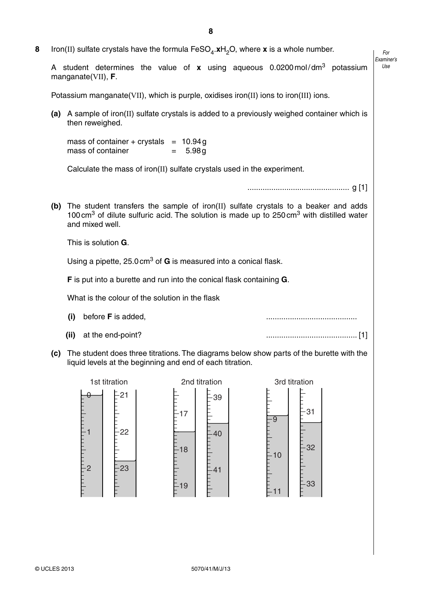**8** Iron(II) sulfate crystals have the formula  $FeSO<sub>4</sub>$ .**x**H<sub>2</sub>O, where **x** is a whole number.

*Use* A student determines the value of **x** using aqueous 0.0200 mol / dm3 potassium manganate(VII), **F**.

Potassium manganate(VII), which is purple, oxidises iron(II) ions to iron(III) ions.

 **(a)** A sample of iron(II) sulfate crystals is added to a previously weighed container which is then reweighed.

mass of container  $+$  crystals  $= 10.94 g$  $mass of container = 5.98 g$ 

Calculate the mass of iron(II) sulfate crystals used in the experiment.

............................................... g [1]

*For Examiner's*

 **(b)** The student transfers the sample of iron(II) sulfate crystals to a beaker and adds 100 cm<sup>3</sup> of dilute sulfuric acid. The solution is made up to  $250 \text{ cm}^3$  with distilled water and mixed well.

This is solution **G**.

Using a pipette, 25.0 cm3 of **G** is measured into a conical flask.

 **F** is put into a burette and run into the conical flask containing **G**.

What is the colour of the solution in the flask

- **(i)** before **F** is added, ..........................................
- 

 **(ii)** at the end-point? .......................................... [1]

 **(c)** The student does three titrations. The diagrams below show parts of the burette with the liquid levels at the beginning and end of each titration.

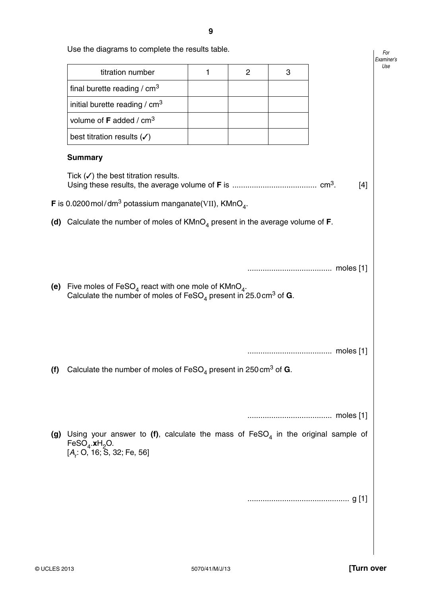|     |                                                                                                 |   |                |   |       | Examiner's<br>Use |
|-----|-------------------------------------------------------------------------------------------------|---|----------------|---|-------|-------------------|
|     | titration number                                                                                | 1 | $\overline{c}$ | 3 |       |                   |
|     | final burette reading / cm <sup>3</sup>                                                         |   |                |   |       |                   |
|     | initial burette reading / $cm3$                                                                 |   |                |   |       |                   |
|     | volume of F added / cm <sup>3</sup>                                                             |   |                |   |       |                   |
|     | best titration results $(\checkmark)$                                                           |   |                |   |       |                   |
|     | <b>Summary</b>                                                                                  |   |                |   |       |                   |
|     | Tick $(\checkmark)$ the best titration results.                                                 |   |                |   | $[4]$ |                   |
|     | <b>F</b> is 0.0200 mol/dm <sup>3</sup> potassium manganate(VII), KMnO <sub>4</sub> .            |   |                |   |       |                   |
|     | (d) Calculate the number of moles of $KMnO4$ present in the average volume of <b>F</b> .        |   |                |   |       |                   |
|     |                                                                                                 |   |                |   |       |                   |
|     |                                                                                                 |   |                |   |       |                   |
|     |                                                                                                 |   |                |   |       |                   |
|     | (e) Five moles of FeSO <sub>4</sub> react with one mole of KMnO <sub>4</sub> .                  |   |                |   |       |                   |
|     | Calculate the number of moles of $\text{FeSO}_4$ present in 25.0 cm <sup>3</sup> of <b>G</b> .  |   |                |   |       |                   |
|     |                                                                                                 |   |                |   |       |                   |
|     |                                                                                                 |   |                |   |       |                   |
|     |                                                                                                 |   |                |   |       |                   |
| (f) | Calculate the number of moles of FeSO <sub>4</sub> present in 250 cm <sup>3</sup> of <b>G</b> . |   |                |   |       |                   |
|     |                                                                                                 |   |                |   |       |                   |
|     |                                                                                                 |   |                |   |       |                   |
|     |                                                                                                 |   |                |   |       |                   |
|     | Using your answer to (f), calculate the mass of $FesO4$ in the original sample of               |   |                |   |       |                   |
| (g) | FeSO <sub>4</sub> .xH <sub>2</sub> O.                                                           |   |                |   |       |                   |
|     | [A, 0, 16, 5, 32, Fe, 56]                                                                       |   |                |   |       |                   |
|     |                                                                                                 |   |                |   |       |                   |
|     |                                                                                                 |   |                |   |       |                   |
|     |                                                                                                 |   |                |   |       |                   |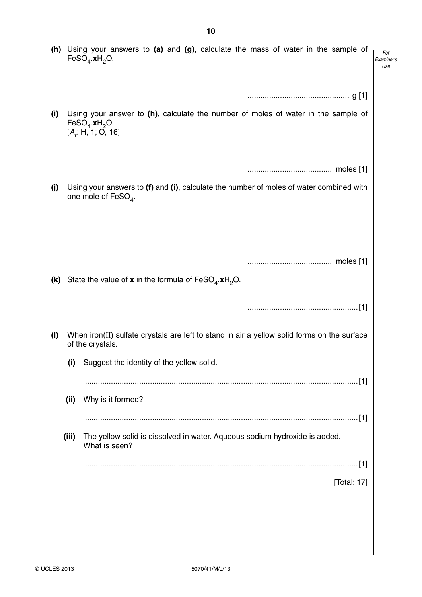|     |       | (h) Using your answers to (a) and (g), calculate the mass of water in the sample of<br>FeSO <sub>4</sub> .xH <sub>2</sub> O.                               | For<br>Examiner's<br>Use |
|-----|-------|------------------------------------------------------------------------------------------------------------------------------------------------------------|--------------------------|
|     |       |                                                                                                                                                            |                          |
| (i) |       | Using your answer to $(h)$ , calculate the number of moles of water in the sample of<br>$\mathsf{FeSO}_4.\mathsf{xH}_2\mathsf{O}.$<br>$[A_r; H, 1; O, 16]$ |                          |
|     |       |                                                                                                                                                            |                          |
| (j) |       | Using your answers to (f) and (i), calculate the number of moles of water combined with<br>one mole of FeSO <sub>4</sub> .                                 |                          |
|     |       | (k) State the value of x in the formula of $\text{FeSO}_4.\text{xH}_2\text{O}.$                                                                            |                          |
|     |       |                                                                                                                                                            |                          |
| (1) |       | When iron(II) sulfate crystals are left to stand in air a yellow solid forms on the surface<br>of the crystals.                                            |                          |
|     | (i)   | Suggest the identity of the yellow solid.                                                                                                                  |                          |
|     |       |                                                                                                                                                            |                          |
|     | (ii)  | Why is it formed?                                                                                                                                          |                          |
|     | (iii) | The yellow solid is dissolved in water. Aqueous sodium hydroxide is added.<br>What is seen?                                                                |                          |
|     |       |                                                                                                                                                            |                          |
|     |       | [Total: 17]                                                                                                                                                |                          |
|     |       |                                                                                                                                                            |                          |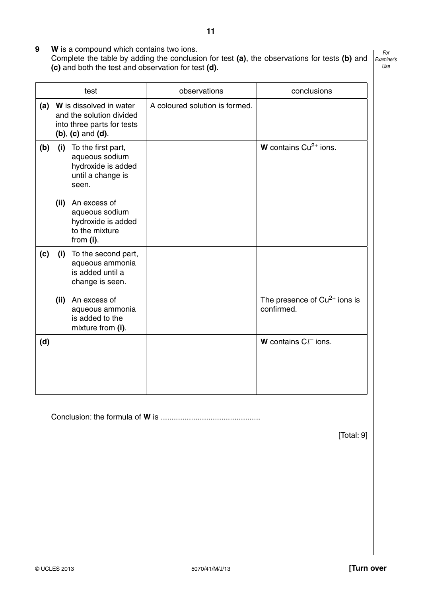- **9 W** is a compound which contains two ions.
	- Complete the table by adding the conclusion for test **(a)**, the observations for tests **(b)** and **(c)** and both the test and observation for test **(d)**.

*For Examiner's Use*

|     |                                                                                                                | test                                                                                     | observations                   | conclusions                                  |
|-----|----------------------------------------------------------------------------------------------------------------|------------------------------------------------------------------------------------------|--------------------------------|----------------------------------------------|
| (a) | W is dissolved in water<br>and the solution divided<br>into three parts for tests<br>$(b)$ , $(c)$ and $(d)$ . |                                                                                          | A coloured solution is formed. |                                              |
| (b) | (i)                                                                                                            | To the first part,<br>aqueous sodium<br>hydroxide is added<br>until a change is<br>seen. |                                | <b>W</b> contains $Cu^{2+}$ ions.            |
|     | (ii)                                                                                                           | An excess of<br>aqueous sodium<br>hydroxide is added<br>to the mixture<br>from $(i)$ .   |                                |                                              |
| (c) | (i)                                                                                                            | To the second part,<br>aqueous ammonia<br>is added until a<br>change is seen.            |                                |                                              |
|     | (ii)                                                                                                           | An excess of<br>aqueous ammonia<br>is added to the<br>mixture from (i).                  |                                | The presence of $Cu2+$ ions is<br>confirmed. |
| (d) |                                                                                                                |                                                                                          |                                | <b>W</b> contains $Cl$ <sup>-</sup> ions.    |
|     |                                                                                                                |                                                                                          |                                |                                              |

Conclusion: the formula of **W** is ..............................................

[Total: 9]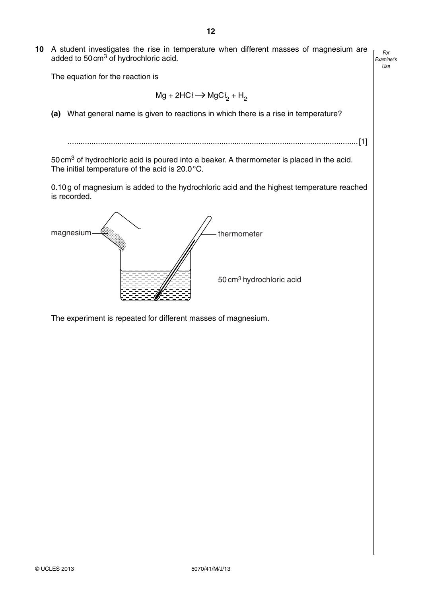**10** A student investigates the rise in temperature when different masses of magnesium are added to 50 cm<sup>3</sup> of hydrochloric acid.

The equation for the reaction is

$$
Mg + 2HCl \rightarrow MgCl2 + H2
$$

 **(a)** What general name is given to reactions in which there is a rise in temperature?

......................................................................................................................................[1]

50 cm3 of hydrochloric acid is poured into a beaker. A thermometer is placed in the acid. The initial temperature of the acid is 20.0 °C.

0.10 g of magnesium is added to the hydrochloric acid and the highest temperature reached is recorded.



The experiment is repeated for different masses of magnesium.

*For Examiner's Use*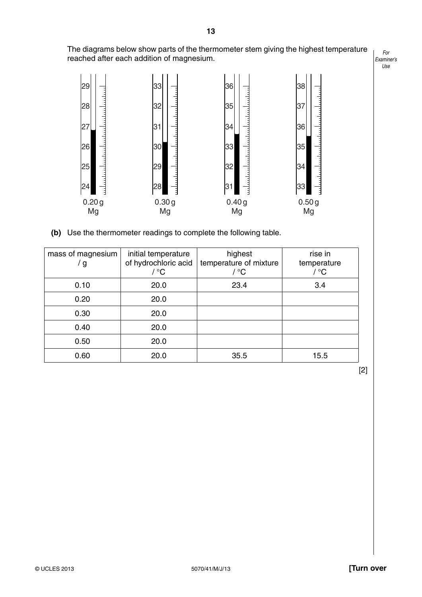The diagrams below show parts of the thermometer stem giving the highest temperature reached after each addition of magnesium.



 **(b)** Use the thermometer readings to complete the following table.

| mass of magnesium<br>g | initial temperature<br>of hydrochloric acid<br>/ °C | highest<br>temperature of mixture<br>/ °C | rise in<br>temperature<br>/ °C |
|------------------------|-----------------------------------------------------|-------------------------------------------|--------------------------------|
| 0.10                   | 20.0                                                | 23.4                                      | 3.4                            |
| 0.20                   | 20.0                                                |                                           |                                |
| 0.30                   | 20.0                                                |                                           |                                |
| 0.40                   | 20.0                                                |                                           |                                |
| 0.50                   | 20.0                                                |                                           |                                |
| 0.60                   | 20.0                                                | 35.5                                      | 15.5                           |

[2]

**13**

*For Examiner's Use*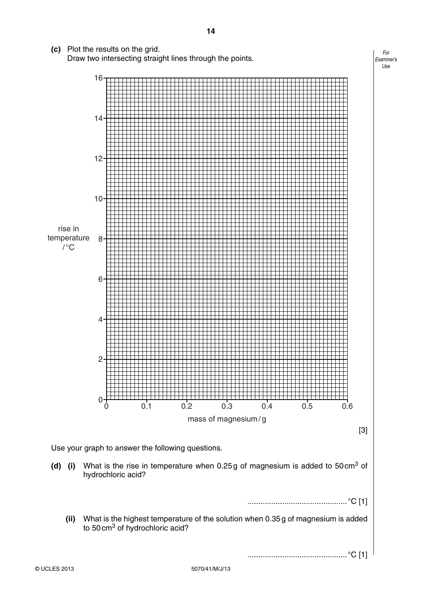**(c)** Plot the results on the grid. Draw two intersecting straight lines through the points.





**(d)** (i) What is the rise in temperature when 0.25 g of magnesium is added to 50 cm<sup>3</sup> of hydrochloric acid?

..............................................°C [1]

 **(ii)** What is the highest temperature of the solution when 0.35 g of magnesium is added to 50 cm<sup>3</sup> of hydrochloric acid?

..............................................°C [1]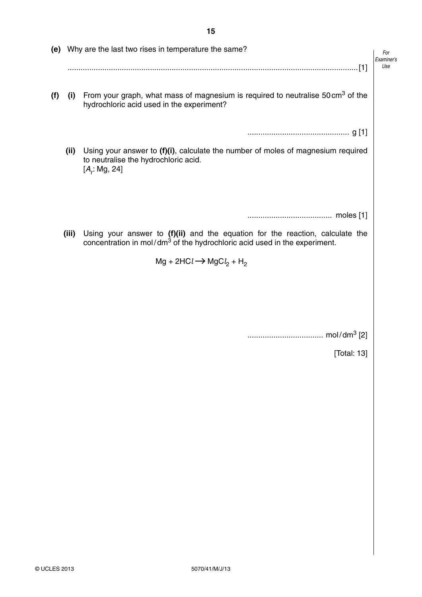|     |       | (e) Why are the last two rises in temperature the same?                                                                                                                | For<br>Examiner's<br>Use |
|-----|-------|------------------------------------------------------------------------------------------------------------------------------------------------------------------------|--------------------------|
| (f) | (i)   | From your graph, what mass of magnesium is required to neutralise 50 cm <sup>3</sup> of the<br>hydrochloric acid used in the experiment?                               |                          |
|     |       |                                                                                                                                                                        |                          |
|     | (ii)  | Using your answer to (f)(i), calculate the number of moles of magnesium required<br>to neutralise the hydrochloric acid.<br>$[A_r: Mg, 24]$                            |                          |
|     |       |                                                                                                                                                                        |                          |
|     |       |                                                                                                                                                                        |                          |
|     | (iii) | Using your answer to (f)(ii) and the equation for the reaction, calculate the<br>concentration in mol/dm <sup>3</sup> of the hydrochloric acid used in the experiment. |                          |
|     |       | $Mg + 2HCl \rightarrow MgCl2 + H2$                                                                                                                                     |                          |
|     |       |                                                                                                                                                                        |                          |
|     |       |                                                                                                                                                                        |                          |
|     |       |                                                                                                                                                                        |                          |
|     |       | [Total: 13]                                                                                                                                                            |                          |
|     |       |                                                                                                                                                                        |                          |
|     |       |                                                                                                                                                                        |                          |
|     |       |                                                                                                                                                                        |                          |
|     |       |                                                                                                                                                                        |                          |
|     |       |                                                                                                                                                                        |                          |
|     |       |                                                                                                                                                                        |                          |